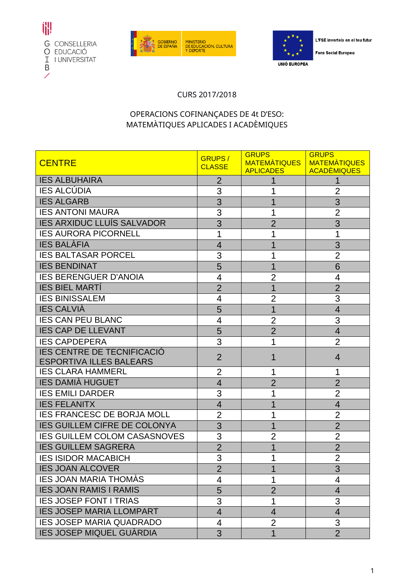





L'FSE inverteix en el teu futur

**Fons Social Europeu** 

## CURS 2017/2018

## OPERACIONS COFINANÇADES DE 4t D'ESO: MATEMÀTIQUES APLICADES I ACADÈMIQUES

| <b>CENTRE</b>                       | <b>GRUPS/</b><br><b>CLASSE</b> | <b>GRUPS</b><br><b>MATEMATIQUES</b> | <b>GRUPS</b><br><b>MATEMATIQUES</b> |
|-------------------------------------|--------------------------------|-------------------------------------|-------------------------------------|
|                                     |                                | <b>APLICADES</b>                    | <b>ACADÈMIQUES</b>                  |
| <b>IES ALBUHAIRA</b>                | $\overline{2}$                 |                                     |                                     |
| <b>IES ALCÚDIA</b>                  | 3                              |                                     | $\overline{2}$                      |
| <b>IES ALGARB</b>                   | 3                              | 1                                   | 3                                   |
| <b>IES ANTONI MAURA</b>             | 3                              |                                     | $\overline{2}$                      |
| <b>IES ARXIDUC LLUÍS SALVADOR</b>   | 3                              | $\overline{2}$                      | 3                                   |
| <b>IES AURORA PICORNELL</b>         | 1                              |                                     |                                     |
| <b>IES BALÀFIA</b>                  | $\overline{4}$                 |                                     | 3                                   |
| <b>IES BALTASAR PORCEL</b>          | 3                              |                                     | $\overline{2}$                      |
| <b>IES BENDINAT</b>                 | 5                              |                                     | 6                                   |
| <b>IES BERENGUER D'ANOIA</b>        | 4                              | 2                                   | 4                                   |
| <b>IES BIEL MARTI</b>               | $\overline{2}$                 | 1                                   | $\overline{2}$                      |
| <b>IES BINISSALEM</b>               | 4                              | $\overline{2}$                      | 3                                   |
| <b>IES CALVIÀ</b>                   | 5                              | 1                                   | $\overline{4}$                      |
| <b>IES CAN PEU BLANC</b>            | 4                              | $\overline{2}$                      | 3                                   |
| <b>IES CAP DE LLEVANT</b>           | 5                              | $\overline{2}$                      | $\overline{4}$                      |
| <b>IES CAPDEPERA</b>                | 3                              |                                     | $\overline{2}$                      |
| <b>IES CENTRE DE TECNIFICACIÓ</b>   | $\overline{2}$                 | 1                                   | $\overline{4}$                      |
| <b>ESPORTIVA ILLES BALEARS</b>      |                                |                                     |                                     |
| <b>IES CLARA HAMMERL</b>            | 2                              | 1                                   | 1                                   |
| <b>IES DAMIÀ HUGUET</b>             | $\overline{4}$                 | $\overline{2}$                      | $\overline{2}$                      |
| <b>IES EMILI DARDER</b>             | 3                              |                                     | $\overline{2}$                      |
| <b>IES FELANITX</b>                 | $\overline{4}$                 |                                     | $\overline{4}$                      |
| <b>IES FRANCESC DE BORJA MOLL</b>   | $\overline{2}$                 |                                     | $\overline{2}$                      |
| <b>IES GUILLEM CIFRE DE COLONYA</b> | 3                              | 1                                   | $\overline{2}$                      |
| <b>IES GUILLEM COLOM CASASNOVES</b> | 3                              | $\overline{2}$                      | $\overline{2}$                      |
| <b>IES GUILLEM SAGRERA</b>          | $\overline{2}$                 |                                     | $\overline{2}$                      |
| <b>IES ISIDOR MACABICH</b>          | 3                              | 1                                   | $\overline{2}$                      |
| <b>IES JOAN ALCOVER</b>             | $\overline{2}$                 | 1                                   | 3                                   |
| <b>IES JOAN MARIA THOMAS</b>        | 4                              | 1                                   | 4                                   |
| <b>IES JOAN RAMIS I RAMIS</b>       | 5                              | $\overline{2}$                      | 4                                   |
| <b>IES JOSEP FONT I TRIAS</b>       | 3                              | 1                                   | 3                                   |
| <b>IES JOSEP MARIA LLOMPART</b>     | $\overline{4}$                 | $\overline{4}$                      | $\overline{4}$                      |
| <b>IES JOSEP MARIA QUADRADO</b>     | 4                              | $\overline{2}$                      | 3                                   |
| <b>IES JOSEP MIQUEL GUÀRDIA</b>     | 3                              | 1                                   | $\overline{2}$                      |